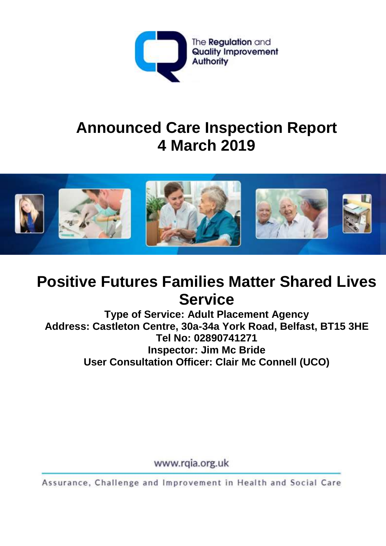

# **Announced Care Inspection Report 4 March 2019**



# **Positive Futures Families Matter Shared Lives Service**

**Type of Service: Adult Placement Agency Address: Castleton Centre, 30a-34a York Road, Belfast, BT15 3HE Tel No: 02890741271 Inspector: Jim Mc Bride User Consultation Officer: Clair Mc Connell (UCO)**

www.rqia.org.uk

Assurance, Challenge and Improvement in Health and Social Care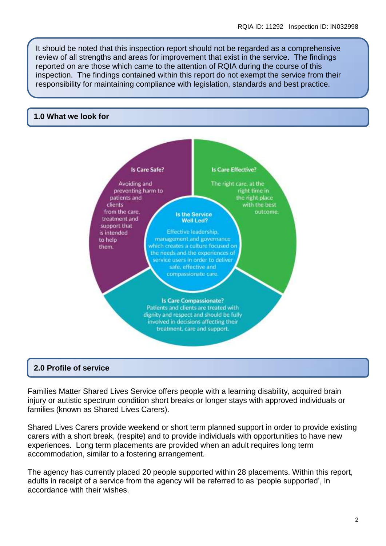It should be noted that this inspection report should not be regarded as a comprehensive review of all strengths and areas for improvement that exist in the service. The findings reported on are those which came to the attention of RQIA during the course of this inspection. The findings contained within this report do not exempt the service from their responsibility for maintaining compliance with legislation, standards and best practice.

#### **1.0 What we look for**



#### **2.0 Profile of service**

Families Matter Shared Lives Service offers people with a learning disability, acquired brain injury or autistic spectrum condition short breaks or longer stays with approved individuals or families (known as Shared Lives Carers).

Shared Lives Carers provide weekend or short term planned support in order to provide existing carers with a short break, (respite) and to provide individuals with opportunities to have new experiences. Long term placements are provided when an adult requires long term accommodation, similar to a fostering arrangement.

The agency has currently placed 20 people supported within 28 placements. Within this report, adults in receipt of a service from the agency will be referred to as 'people supported', in accordance with their wishes.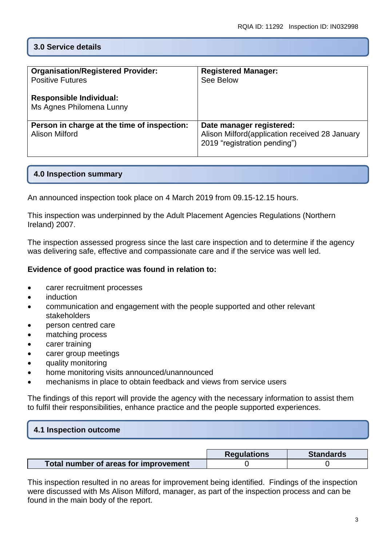### **3.0 Service details**

| <b>Organisation/Registered Provider:</b><br><b>Positive Futures</b><br><b>Responsible Individual:</b><br>Ms Agnes Philomena Lunny | <b>Registered Manager:</b><br>See Below                                                                    |
|-----------------------------------------------------------------------------------------------------------------------------------|------------------------------------------------------------------------------------------------------------|
| Person in charge at the time of inspection:<br>Alison Milford                                                                     | Date manager registered:<br>Alison Milford(application received 28 January<br>2019 "registration pending") |

#### **4.0 Inspection summary**

An announced inspection took place on 4 March 2019 from 09.15-12.15 hours.

This inspection was underpinned by the Adult Placement Agencies Regulations (Northern Ireland) 2007.

The inspection assessed progress since the last care inspection and to determine if the agency was delivering safe, effective and compassionate care and if the service was well led.

#### **Evidence of good practice was found in relation to:**

- carer recruitment processes
- induction
- communication and engagement with the people supported and other relevant stakeholders
- person centred care
- matching process
- carer training
- carer group meetings
- quality monitoring
- home monitoring visits announced/unannounced
- mechanisms in place to obtain feedback and views from service users

The findings of this report will provide the agency with the necessary information to assist them to fulfil their responsibilities, enhance practice and the people supported experiences.

# **4.1 Inspection outcome**

|                                       | <b>Regulations</b> | <b>Standards</b> |
|---------------------------------------|--------------------|------------------|
| Total number of areas for improvement |                    |                  |

This inspection resulted in no areas for improvement being identified. Findings of the inspection were discussed with Ms Alison Milford, manager, as part of the inspection process and can be found in the main body of the report.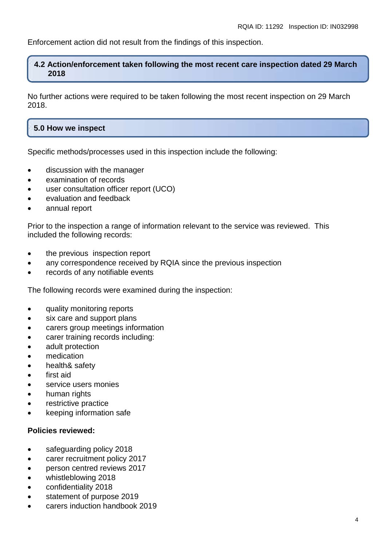Enforcement action did not result from the findings of this inspection.

#### **4.2 Action/enforcement taken following the most recent care inspection dated 29 March 2018**

No further actions were required to be taken following the most recent inspection on 29 March 2018.

### **5.0 How we inspect**

Specific methods/processes used in this inspection include the following:

- discussion with the manager
- examination of records
- user consultation officer report (UCO)
- evaluation and feedback
- annual report

Prior to the inspection a range of information relevant to the service was reviewed. This included the following records:

- the previous inspection report
- any correspondence received by RQIA since the previous inspection
- records of any notifiable events

The following records were examined during the inspection:

- auality monitoring reports
- six care and support plans
- carers group meetings information
- carer training records including:
- adult protection
- medication
- health& safety
- first aid
- service users monies
- human rights
- restrictive practice
- keeping information safe

#### **Policies reviewed:**

- safeguarding policy 2018
- carer recruitment policy 2017
- **•** person centred reviews 2017
- whistleblowing 2018
- confidentiality 2018
- **statement of purpose 2019**
- carers induction handbook 2019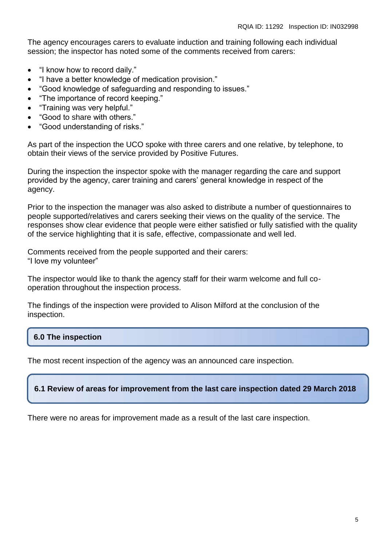The agency encourages carers to evaluate induction and training following each individual session; the inspector has noted some of the comments received from carers:

- "I know how to record daily."
- "I have a better knowledge of medication provision."
- "Good knowledge of safeguarding and responding to issues."
- "The importance of record keeping."
- "Training was very helpful."
- "Good to share with others."
- "Good understanding of risks."

As part of the inspection the UCO spoke with three carers and one relative, by telephone, to obtain their views of the service provided by Positive Futures.

During the inspection the inspector spoke with the manager regarding the care and support provided by the agency, carer training and carers' general knowledge in respect of the agency.

Prior to the inspection the manager was also asked to distribute a number of questionnaires to people supported/relatives and carers seeking their views on the quality of the service. The responses show clear evidence that people were either satisfied or fully satisfied with the quality of the service highlighting that it is safe, effective, compassionate and well led.

Comments received from the people supported and their carers: "I love my volunteer"

The inspector would like to thank the agency staff for their warm welcome and full cooperation throughout the inspection process.

The findings of the inspection were provided to Alison Milford at the conclusion of the inspection.

## **6.0 The inspection**

The most recent inspection of the agency was an announced care inspection.

#### **6.1 Review of areas for improvement from the last care inspection dated 29 March 2018**

There were no areas for improvement made as a result of the last care inspection.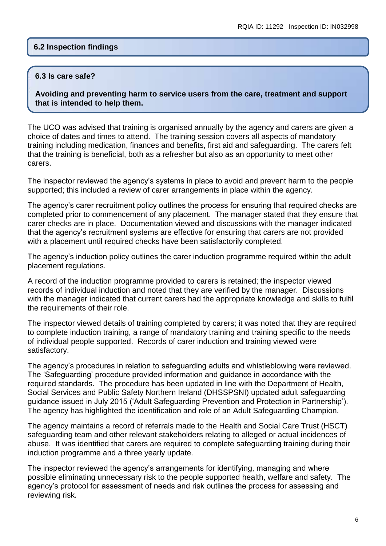#### **6.2 Inspection findings**

#### **6.3 Is care safe?**

**Avoiding and preventing harm to service users from the care, treatment and support that is intended to help them.**

The UCO was advised that training is organised annually by the agency and carers are given a choice of dates and times to attend. The training session covers all aspects of mandatory training including medication, finances and benefits, first aid and safeguarding. The carers felt that the training is beneficial, both as a refresher but also as an opportunity to meet other carers.

The inspector reviewed the agency's systems in place to avoid and prevent harm to the people supported; this included a review of carer arrangements in place within the agency.

The agency's carer recruitment policy outlines the process for ensuring that required checks are completed prior to commencement of any placement. The manager stated that they ensure that carer checks are in place. Documentation viewed and discussions with the manager indicated that the agency's recruitment systems are effective for ensuring that carers are not provided with a placement until required checks have been satisfactorily completed.

The agency's induction policy outlines the carer induction programme required within the adult placement regulations.

A record of the induction programme provided to carers is retained; the inspector viewed records of individual induction and noted that they are verified by the manager. Discussions with the manager indicated that current carers had the appropriate knowledge and skills to fulfil the requirements of their role.

The inspector viewed details of training completed by carers; it was noted that they are required to complete induction training, a range of mandatory training and training specific to the needs of individual people supported. Records of carer induction and training viewed were satisfactory.

The agency's procedures in relation to safeguarding adults and whistleblowing were reviewed. The 'Safeguarding' procedure provided information and guidance in accordance with the required standards. The procedure has been updated in line with the Department of Health, Social Services and Public Safety Northern Ireland (DHSSPSNI) updated adult safeguarding guidance issued in July 2015 ('Adult Safeguarding Prevention and Protection in Partnership'). The agency has highlighted the identification and role of an Adult Safeguarding Champion.

The agency maintains a record of referrals made to the Health and Social Care Trust (HSCT) safeguarding team and other relevant stakeholders relating to alleged or actual incidences of abuse. It was identified that carers are required to complete safeguarding training during their induction programme and a three yearly update.

The inspector reviewed the agency's arrangements for identifying, managing and where possible eliminating unnecessary risk to the people supported health, welfare and safety. The agency's protocol for assessment of needs and risk outlines the process for assessing and reviewing risk.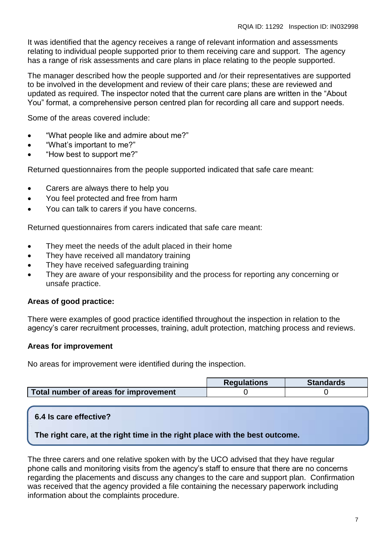It was identified that the agency receives a range of relevant information and assessments relating to individual people supported prior to them receiving care and support. The agency has a range of risk assessments and care plans in place relating to the people supported.

The manager described how the people supported and /or their representatives are supported to be involved in the development and review of their care plans; these are reviewed and updated as required. The inspector noted that the current care plans are written in the "About You" format, a comprehensive person centred plan for recording all care and support needs.

Some of the areas covered include:

- "What people like and admire about me?"
- "What's important to me?"
- "How best to support me?"

Returned questionnaires from the people supported indicated that safe care meant:

- Carers are always there to help you
- You feel protected and free from harm
- You can talk to carers if you have concerns.

Returned questionnaires from carers indicated that safe care meant:

- They meet the needs of the adult placed in their home
- They have received all mandatory training
- They have received safeguarding training
- They are aware of your responsibility and the process for reporting any concerning or unsafe practice.

#### **Areas of good practice:**

There were examples of good practice identified throughout the inspection in relation to the agency's carer recruitment processes, training, adult protection, matching process and reviews.

#### **Areas for improvement**

No areas for improvement were identified during the inspection.

|                                       | <b>Requlations</b> | <b>Standards</b> |
|---------------------------------------|--------------------|------------------|
| Total number of areas for improvement |                    |                  |

#### **6.4 Is care effective?**

**The right care, at the right time in the right place with the best outcome.**

The three carers and one relative spoken with by the UCO advised that they have regular phone calls and monitoring visits from the agency's staff to ensure that there are no concerns regarding the placements and discuss any changes to the care and support plan. Confirmation was received that the agency provided a file containing the necessary paperwork including information about the complaints procedure.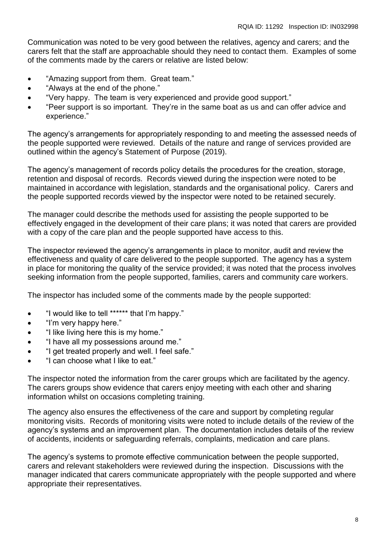Communication was noted to be very good between the relatives, agency and carers; and the carers felt that the staff are approachable should they need to contact them. Examples of some of the comments made by the carers or relative are listed below:

- "Amazing support from them. Great team."
- "Always at the end of the phone."
- "Very happy. The team is very experienced and provide good support."
- "Peer support is so important. They're in the same boat as us and can offer advice and experience."

The agency's arrangements for appropriately responding to and meeting the assessed needs of the people supported were reviewed. Details of the nature and range of services provided are outlined within the agency's Statement of Purpose (2019).

The agency's management of records policy details the procedures for the creation, storage, retention and disposal of records. Records viewed during the inspection were noted to be maintained in accordance with legislation, standards and the organisational policy. Carers and the people supported records viewed by the inspector were noted to be retained securely.

The manager could describe the methods used for assisting the people supported to be effectively engaged in the development of their care plans; it was noted that carers are provided with a copy of the care plan and the people supported have access to this.

The inspector reviewed the agency's arrangements in place to monitor, audit and review the effectiveness and quality of care delivered to the people supported. The agency has a system in place for monitoring the quality of the service provided; it was noted that the process involves seeking information from the people supported, families, carers and community care workers.

The inspector has included some of the comments made by the people supported:

- "I would like to tell \*\*\*\*\*\* that I'm happy."
- "I'm very happy here."
- "I like living here this is my home."
- "I have all my possessions around me."
- "I get treated properly and well. I feel safe."
- "I can choose what I like to eat."

The inspector noted the information from the carer groups which are facilitated by the agency. The carers groups show evidence that carers enjoy meeting with each other and sharing information whilst on occasions completing training.

The agency also ensures the effectiveness of the care and support by completing regular monitoring visits. Records of monitoring visits were noted to include details of the review of the agency's systems and an improvement plan. The documentation includes details of the review of accidents, incidents or safeguarding referrals, complaints, medication and care plans.

The agency's systems to promote effective communication between the people supported, carers and relevant stakeholders were reviewed during the inspection. Discussions with the manager indicated that carers communicate appropriately with the people supported and where appropriate their representatives.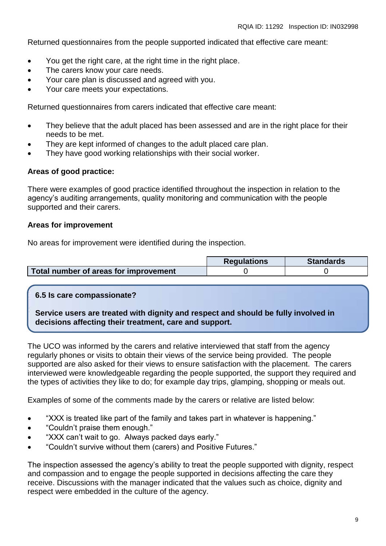Returned questionnaires from the people supported indicated that effective care meant:

- You get the right care, at the right time in the right place.
- The carers know your care needs.
- Your care plan is discussed and agreed with you.
- Your care meets your expectations.

Returned questionnaires from carers indicated that effective care meant:

- They believe that the adult placed has been assessed and are in the right place for their needs to be met.
- They are kept informed of changes to the adult placed care plan.
- They have good working relationships with their social worker.

#### **Areas of good practice:**

There were examples of good practice identified throughout the inspection in relation to the agency's auditing arrangements, quality monitoring and communication with the people supported and their carers.

#### **Areas for improvement**

No areas for improvement were identified during the inspection.

|                                       | <b>Regulations</b> | <b>Standards</b> |
|---------------------------------------|--------------------|------------------|
| Total number of areas for improvement |                    |                  |

#### **6.5 Is care compassionate?**

**Service users are treated with dignity and respect and should be fully involved in decisions affecting their treatment, care and support.**

The UCO was informed by the carers and relative interviewed that staff from the agency regularly phones or visits to obtain their views of the service being provided. The people supported are also asked for their views to ensure satisfaction with the placement. The carers interviewed were knowledgeable regarding the people supported, the support they required and the types of activities they like to do; for example day trips, glamping, shopping or meals out.

Examples of some of the comments made by the carers or relative are listed below:

- "XXX is treated like part of the family and takes part in whatever is happening."
- "Couldn't praise them enough."
- "XXX can't wait to go. Always packed days early."
- "Couldn't survive without them (carers) and Positive Futures."

The inspection assessed the agency's ability to treat the people supported with dignity, respect and compassion and to engage the people supported in decisions affecting the care they receive. Discussions with the manager indicated that the values such as choice, dignity and respect were embedded in the culture of the agency.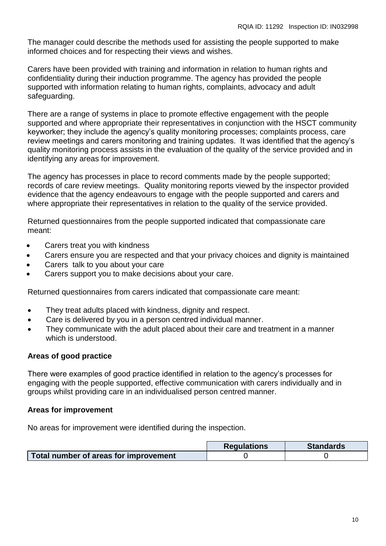The manager could describe the methods used for assisting the people supported to make informed choices and for respecting their views and wishes.

Carers have been provided with training and information in relation to human rights and confidentiality during their induction programme. The agency has provided the people supported with information relating to human rights, complaints, advocacy and adult safeguarding.

There are a range of systems in place to promote effective engagement with the people supported and where appropriate their representatives in conjunction with the HSCT community keyworker; they include the agency's quality monitoring processes; complaints process, care review meetings and carers monitoring and training updates. It was identified that the agency's quality monitoring process assists in the evaluation of the quality of the service provided and in identifying any areas for improvement.

The agency has processes in place to record comments made by the people supported; records of care review meetings. Quality monitoring reports viewed by the inspector provided evidence that the agency endeavours to engage with the people supported and carers and where appropriate their representatives in relation to the quality of the service provided.

Returned questionnaires from the people supported indicated that compassionate care meant:

- Carers treat you with kindness
- Carers ensure you are respected and that your privacy choices and dignity is maintained
- Carers talk to you about your care
- Carers support you to make decisions about your care.

Returned questionnaires from carers indicated that compassionate care meant:

- They treat adults placed with kindness, dignity and respect.
- Care is delivered by you in a person centred individual manner.
- They communicate with the adult placed about their care and treatment in a manner which is understood.

#### **Areas of good practice**

There were examples of good practice identified in relation to the agency's processes for engaging with the people supported, effective communication with carers individually and in groups whilst providing care in an individualised person centred manner.

#### **Areas for improvement**

No areas for improvement were identified during the inspection.

|                                       | <b>Regulations</b> | <b>Standards</b> |
|---------------------------------------|--------------------|------------------|
| Total number of areas for improvement |                    |                  |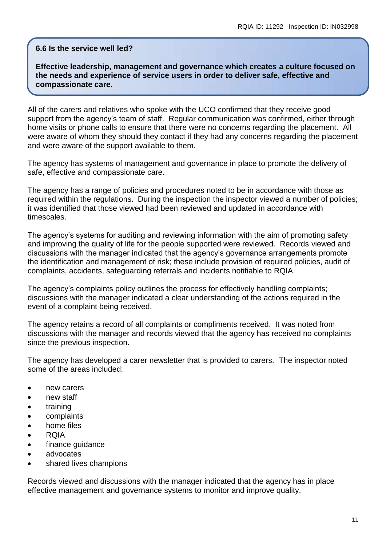#### **6.6 Is the service well led?**

**Effective leadership, management and governance which creates a culture focused on the needs and experience of service users in order to deliver safe, effective and compassionate care.**

All of the carers and relatives who spoke with the UCO confirmed that they receive good support from the agency's team of staff. Regular communication was confirmed, either through home visits or phone calls to ensure that there were no concerns regarding the placement. All were aware of whom they should they contact if they had any concerns regarding the placement and were aware of the support available to them.

The agency has systems of management and governance in place to promote the delivery of safe, effective and compassionate care.

The agency has a range of policies and procedures noted to be in accordance with those as required within the regulations. During the inspection the inspector viewed a number of policies; it was identified that those viewed had been reviewed and updated in accordance with timescales.

The agency's systems for auditing and reviewing information with the aim of promoting safety and improving the quality of life for the people supported were reviewed. Records viewed and discussions with the manager indicated that the agency's governance arrangements promote the identification and management of risk; these include provision of required policies, audit of complaints, accidents, safeguarding referrals and incidents notifiable to RQIA.

The agency's complaints policy outlines the process for effectively handling complaints; discussions with the manager indicated a clear understanding of the actions required in the event of a complaint being received.

The agency retains a record of all complaints or compliments received. It was noted from discussions with the manager and records viewed that the agency has received no complaints since the previous inspection.

The agency has developed a carer newsletter that is provided to carers. The inspector noted some of the areas included:

- new carers
- new staff
- training
- complaints
- home files
- RQIA
- finance guidance
- advocates
- shared lives champions

Records viewed and discussions with the manager indicated that the agency has in place effective management and governance systems to monitor and improve quality.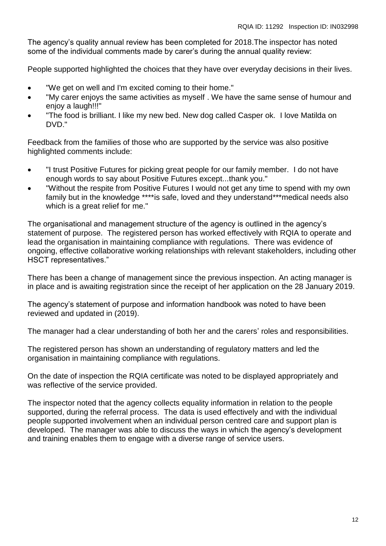The agency's quality annual review has been completed for 2018.The inspector has noted some of the individual comments made by carer's during the annual quality review:

People supported highlighted the choices that they have over everyday decisions in their lives.

- "We get on well and I'm excited coming to their home."
- "My carer enjoys the same activities as myself . We have the same sense of humour and enjoy a laugh!!!"
- "The food is brilliant. I like my new bed. New dog called Casper ok. I love Matilda on DVD."

Feedback from the families of those who are supported by the service was also positive highlighted comments include:

- "I trust Positive Futures for picking great people for our family member. I do not have enough words to say about Positive Futures except...thank you."
- "Without the respite from Positive Futures I would not get any time to spend with my own family but in the knowledge \*\*\*\*is safe, loved and they understand\*\*\*medical needs also which is a great relief for me."

The organisational and management structure of the agency is outlined in the agency's statement of purpose. The registered person has worked effectively with RQIA to operate and lead the organisation in maintaining compliance with regulations. There was evidence of ongoing, effective collaborative working relationships with relevant stakeholders, including other HSCT representatives."

There has been a change of management since the previous inspection. An acting manager is in place and is awaiting registration since the receipt of her application on the 28 January 2019.

The agency's statement of purpose and information handbook was noted to have been reviewed and updated in (2019).

The manager had a clear understanding of both her and the carers' roles and responsibilities.

The registered person has shown an understanding of regulatory matters and led the organisation in maintaining compliance with regulations.

On the date of inspection the RQIA certificate was noted to be displayed appropriately and was reflective of the service provided.

The inspector noted that the agency collects equality information in relation to the people supported, during the referral process. The data is used effectively and with the individual people supported involvement when an individual person centred care and support plan is developed. The manager was able to discuss the ways in which the agency's development and training enables them to engage with a diverse range of service users.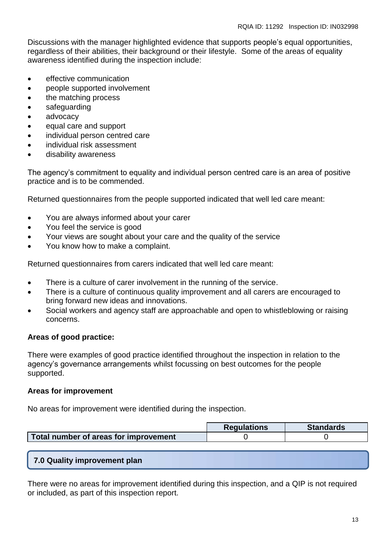Discussions with the manager highlighted evidence that supports people's equal opportunities, regardless of their abilities, their background or their lifestyle. Some of the areas of equality awareness identified during the inspection include:

- **e** effective communication
- people supported involvement
- the matching process
- safeguarding
- advocacy
- equal care and support
- individual person centred care
- individual risk assessment
- disability awareness

The agency's commitment to equality and individual person centred care is an area of positive practice and is to be commended.

Returned questionnaires from the people supported indicated that well led care meant:

- You are always informed about your carer
- You feel the service is good
- Your views are sought about your care and the quality of the service
- You know how to make a complaint.

Returned questionnaires from carers indicated that well led care meant:

- There is a culture of carer involvement in the running of the service.
- There is a culture of continuous quality improvement and all carers are encouraged to bring forward new ideas and innovations.
- Social workers and agency staff are approachable and open to whistleblowing or raising concerns.

#### **Areas of good practice:**

There were examples of good practice identified throughout the inspection in relation to the agency's governance arrangements whilst focussing on best outcomes for the people supported.

#### **Areas for improvement**

No areas for improvement were identified during the inspection.

|                                       | <b>Requlations</b> | <b>Standards</b> |
|---------------------------------------|--------------------|------------------|
| Total number of areas for improvement |                    |                  |

**7.0 Quality improvement plan**

There were no areas for improvement identified during this inspection, and a QIP is not required or included, as part of this inspection report.